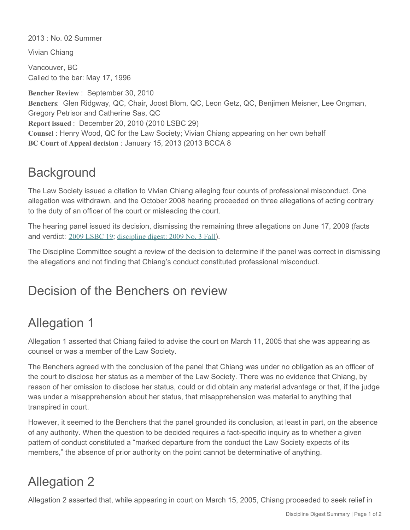2013 : No. 02 Summer

Vivian Chiang

Vancouver, BC Called to the bar: May 17, 1996

**Bencher Review** : September 30, 2010 **Benchers**: Glen Ridgway, QC, Chair, Joost Blom, QC, Leon Getz, QC, Benjimen Meisner, Lee Ongman, Gregory Petrisor and Catherine Sas, QC **Report issued** : December 20, 2010 (2010 LSBC 29) **Counsel** : Henry Wood, QC for the Law Society; Vivian Chiang appearing on her own behalf **BC Court of Appeal decision** : January 15, 2013 (2013 BCCA 8

## **Background**

The Law Society issued a citation to Vivian Chiang alleging four counts of professional misconduct. One allegation was withdrawn, and the October 2008 hearing proceeded on three allegations of acting contrary to the duty of an officer of the court or misleading the court.

The hearing panel issued its decision, dismissing the remaining three allegations on June 17, 2009 (facts and verdict: [2009 LSBC 19](http://www.lawsociety.bc.ca/apps/hearing_decisions/viewreport.cfm?hearing_id=421&t=Chiang-Decision-on-Facts-and-Verdict-(citation-dismissed)-See-Bencher-Review-December-20/10); [discipline digest: 2009 No. 3 Fall](http://www.lawsociety.bc.ca/page.cfm?cid=384&t=Discipline-digest)).

The Discipline Committee sought a review of the decision to determine if the panel was correct in dismissing the allegations and not finding that Chiang's conduct constituted professional misconduct.

### Decision of the Benchers on review

# Allegation 1

Allegation 1 asserted that Chiang failed to advise the court on March 11, 2005 that she was appearing as counsel or was a member of the Law Society.

The Benchers agreed with the conclusion of the panel that Chiang was under no obligation as an officer of the court to disclose her status as a member of the Law Society. There was no evidence that Chiang, by reason of her omission to disclose her status, could or did obtain any material advantage or that, if the judge was under a misapprehension about her status, that misapprehension was material to anything that transpired in court.

However, it seemed to the Benchers that the panel grounded its conclusion, at least in part, on the absence of any authority. When the question to be decided requires a fact-specific inquiry as to whether a given pattern of conduct constituted a "marked departure from the conduct the Law Society expects of its members," the absence of prior authority on the point cannot be determinative of anything.

# Allegation 2

Allegation 2 asserted that, while appearing in court on March 15, 2005, Chiang proceeded to seek relief in